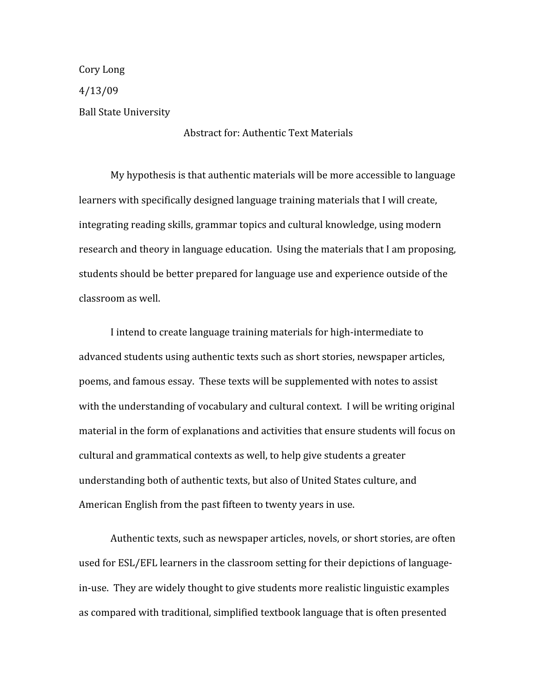Cory Long 4/13/09 Ball State University

## Abstract for: Authentic Text Materials

My hypothesis is that authentic materials will be more accessible to language learners with specifically designed language training materials that I will create, integrating reading skills, grammar topics and cultural knowledge, using modern research and theory in language education. Using the materials that I am proposing, students should be better prepared for language use and experience outside of the classroom as well.

I intend to create language training materials for high‐intermediate to advanced students using authentic texts such as short stories, newspaper articles, poems, and famous essay. These texts will be supplemented with notes to assist with the understanding of vocabulary and cultural context. I will be writing original material in the form of explanations and activities that ensure students will focus on cultural and grammatical contexts as well, to help give students a greater understanding both of authentic texts, but also of United States culture, and American English from the past fifteen to twenty years in use.

Authentic texts, such as newspaper articles, novels, or short stories, are often used for ESL/EFL learners in the classroom setting for their depictions of language‐ in-use. They are widely thought to give students more realistic linguistic examples as compared with traditional, simplified textbook language that is often presented